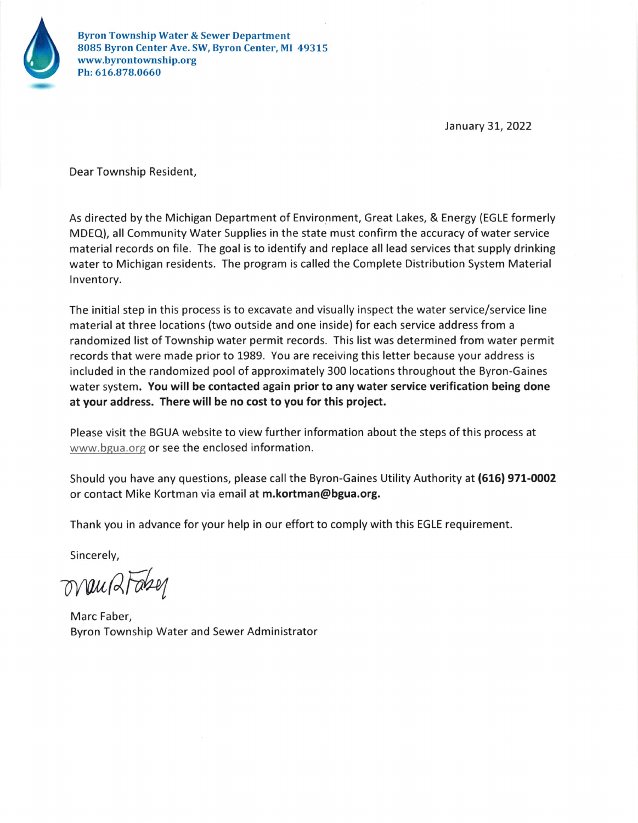

January 31, 2022

Dear Township Resident,

As directed by the Michigan Department of Environment, Great Lakes, & Energy (EGLE formerly MDEQ), all Community Water Supplies in the state must confirm the accuracy of water service material records on file. The goal is to identify and replace all lead services that supply drinking water to Michigan residents. The program is called the Complete Distribution System Material lnventory.

The initial step in this process is to excavate and visually inspect the water service/service line material at three locations (two outside and one inside) for each service address from a randomized list of Township water permit records. This list was determined from water permit records that were made prior to 1989. You are receiving this letter because your address is included in the randomized pool of approximately 300 locations throughout the Byron-Gaines water system. You will be contacted again prior to any water service verification being done at your address. There will be no cost to you for this project.

Please visit the BGUA website to view further information about the steps of this process at www.bgua.org or see the enclosed information.

Should you have any questions, please call the Byron-Gaines Utility Authority at (616) 971-0002 or contact Mike Kortman via email at m.kortman@bgua.org.

Thank you in advance for your help in our effort to comply with this EGLE requirement.

Sincerely,

orau 2Fabey

Marc Faber, Byron Township Water and Sewer Administrator